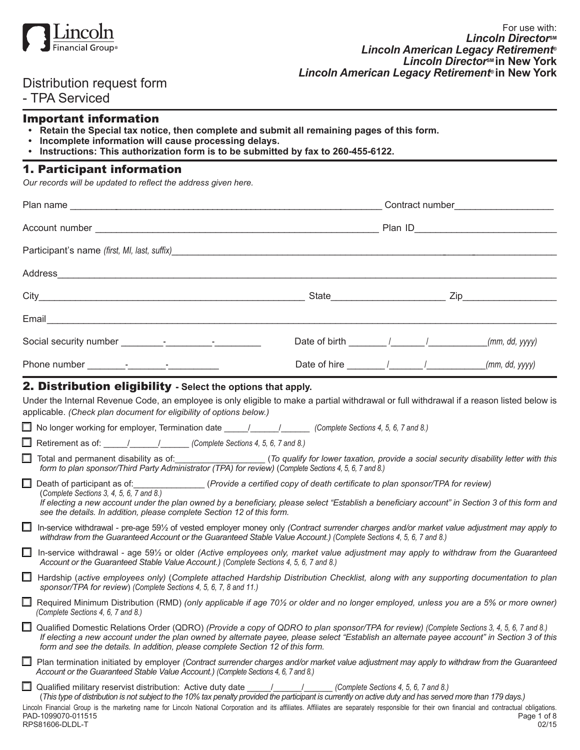

# Distribution request form

|  | - TPA Serviced |  |  |
|--|----------------|--|--|
|--|----------------|--|--|

# Important information

- Retain the Special tax notice, then complete and submit all remaining pages of this form.<br>• Incomplete information will cause processing delays.
- **• Incomplete information will cause processing delays.**
- **Instructions: This authorization form is to be submitted by fax to 260-455-6122.**

## 1. Participant information

*Our records will be updated to reflect the address given here.*

| Plan name and the contract of the contract of the contract of the contract of the contract of the contract of the contract of the contract of the contract of the contract of the contract of the contract of the contract of                                                                                                                                                                                                                                                                                                                                                                                                                                                                                                                                                                                                                                                                                                                                                                                                                                                                                                                                                                                                      |                                                                                                                                                                                                                                                                                                                    | Contract number <b>Contract number</b>                                        |
|------------------------------------------------------------------------------------------------------------------------------------------------------------------------------------------------------------------------------------------------------------------------------------------------------------------------------------------------------------------------------------------------------------------------------------------------------------------------------------------------------------------------------------------------------------------------------------------------------------------------------------------------------------------------------------------------------------------------------------------------------------------------------------------------------------------------------------------------------------------------------------------------------------------------------------------------------------------------------------------------------------------------------------------------------------------------------------------------------------------------------------------------------------------------------------------------------------------------------------|--------------------------------------------------------------------------------------------------------------------------------------------------------------------------------------------------------------------------------------------------------------------------------------------------------------------|-------------------------------------------------------------------------------|
|                                                                                                                                                                                                                                                                                                                                                                                                                                                                                                                                                                                                                                                                                                                                                                                                                                                                                                                                                                                                                                                                                                                                                                                                                                    |                                                                                                                                                                                                                                                                                                                    |                                                                               |
| Participant's name (first, MI, last, suffix) example and the set of the set of the set of the set of the set of the set of the set of the set of the set of the set of the set of the set of the set of the set of the set of                                                                                                                                                                                                                                                                                                                                                                                                                                                                                                                                                                                                                                                                                                                                                                                                                                                                                                                                                                                                      |                                                                                                                                                                                                                                                                                                                    |                                                                               |
|                                                                                                                                                                                                                                                                                                                                                                                                                                                                                                                                                                                                                                                                                                                                                                                                                                                                                                                                                                                                                                                                                                                                                                                                                                    |                                                                                                                                                                                                                                                                                                                    |                                                                               |
|                                                                                                                                                                                                                                                                                                                                                                                                                                                                                                                                                                                                                                                                                                                                                                                                                                                                                                                                                                                                                                                                                                                                                                                                                                    |                                                                                                                                                                                                                                                                                                                    |                                                                               |
| Email experience and the contract of the contract of the contract of the contract of the contract of the contract of the contract of the contract of the contract of the contract of the contract of the contract of the contr                                                                                                                                                                                                                                                                                                                                                                                                                                                                                                                                                                                                                                                                                                                                                                                                                                                                                                                                                                                                     |                                                                                                                                                                                                                                                                                                                    |                                                                               |
|                                                                                                                                                                                                                                                                                                                                                                                                                                                                                                                                                                                                                                                                                                                                                                                                                                                                                                                                                                                                                                                                                                                                                                                                                                    | Date of birth $\frac{1}{2}$ $\frac{1}{2}$ $\frac{1}{2}$ $\frac{1}{2}$ $\frac{1}{2}$ $\frac{1}{2}$ $\frac{1}{2}$ $\frac{1}{2}$ $\frac{1}{2}$ $\frac{1}{2}$ $\frac{1}{2}$ $\frac{1}{2}$ $\frac{1}{2}$ $\frac{1}{2}$ $\frac{1}{2}$ $\frac{1}{2}$ $\frac{1}{2}$ $\frac{1}{2}$ $\frac{1}{2}$ $\frac{1}{2}$ $\frac{1}{2$ | (mm, dd, yyyy)                                                                |
|                                                                                                                                                                                                                                                                                                                                                                                                                                                                                                                                                                                                                                                                                                                                                                                                                                                                                                                                                                                                                                                                                                                                                                                                                                    |                                                                                                                                                                                                                                                                                                                    | Date of hire $\frac{1}{\sqrt{2\pi}}$ / $\frac{1}{\sqrt{2\pi}}$ (mm, dd, yyyy) |
| applicable. (Check plan document for eligibility of options below.)<br>Retirement as of: $\frac{1}{\sqrt{2}}$ / Complete Sections 4, 5, 6, 7 and 8.)<br>Total and permanent disability as of:<br>Contaility for lower taxation, provide a social security disability letter with this<br>form to plan sponsor/Third Party Administrator (TPA) for review) (Complete Sections 4, 5, 6, 7 and 8.)<br>Death of participant as of:_______________(Provide a certified copy of death certificate to plan sponsor/TPA for review)<br>(Complete Sections 3, 4, 5, 6, 7 and 8.)<br>If electing a new account under the plan owned by a beneficiary, please select "Establish a beneficiary account" in Section 3 of this form and<br>see the details. In addition, please complete Section 12 of this form.<br>□ In-service withdrawal - pre-age 59½ of vested employer money only (Contract surrender charges and/or market value adjustment may apply to<br>withdraw from the Guaranteed Account or the Guaranteed Stable Value Account.) (Complete Sections 4, 5, 6, 7 and 8.)<br>◻<br>In-service withdrawal - age 591/ <sub>2</sub> or older (Active employees only, market value adjustment may apply to withdraw from the Guaranteed |                                                                                                                                                                                                                                                                                                                    |                                                                               |
| Account or the Guaranteed Stable Value Account.) (Complete Sections 4, 5, 6, 7 and 8.)<br>□ Hardship (active employees only) (Complete attached Hardship Distribution Checklist, along with any supporting documentation to plan<br>sponsor/TPA for review) (Complete Sections 4, 5, 6, 7, 8 and 11.)<br>$\Box$ Required Minimum Distribution (RMD) (only applicable if age 70% or older and no longer employed, unless you are a 5% or more owner)                                                                                                                                                                                                                                                                                                                                                                                                                                                                                                                                                                                                                                                                                                                                                                                |                                                                                                                                                                                                                                                                                                                    |                                                                               |
| (Complete Sections 4, 6, 7 and 8.)<br>□ Qualified Domestic Relations Order (QDRO) (Provide a copy of QDRO to plan sponsor/TPA for review) (Complete Sections 3, 4, 5, 6, 7 and 8.)<br>If electing a new account under the plan owned by alternate payee, please select "Establish an alternate payee account" in Section 3 of this<br>form and see the details. In addition, please complete Section 12 of this form.                                                                                                                                                                                                                                                                                                                                                                                                                                                                                                                                                                                                                                                                                                                                                                                                              |                                                                                                                                                                                                                                                                                                                    |                                                                               |
| □ Plan termination initiated by employer (Contract surrender charges and/or market value adjustment may apply to withdraw from the Guaranteed<br>Account or the Guaranteed Stable Value Account.) (Complete Sections 4, 6, 7 and 8.)<br>$\Box$ Qualified military reservist distribution: Active duty date<br>(This type of distribution is not subject to the 10% tax penalty provided the participant is currently on active duty and has served more than 179 days.)<br>Lincoln Financial Group is the marketing name for Lincoln National Corporation and its affiliates. Affiliates are separately responsible for their own financial and contractual obligations.<br>PAD-1099070-011515<br>RPS81606-DLDL-T                                                                                                                                                                                                                                                                                                                                                                                                                                                                                                                  | (Complete Sections 4, 5, 6, 7 and 8.)                                                                                                                                                                                                                                                                              | Page 1 of 8<br>02/15                                                          |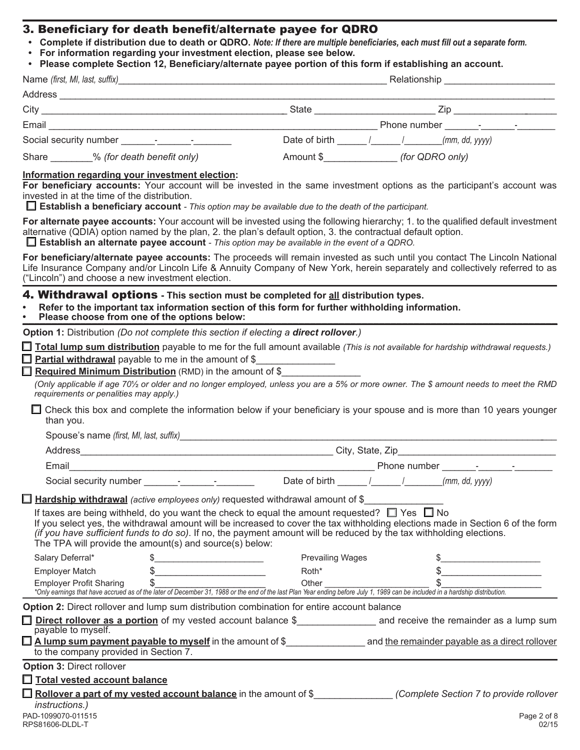# 3. Beneficiary for death benefit/alternate payee for QDRO

- **• Complete if distribution due to death or QDRO.** *Note: If there are multiple beneficiaries, each must fill out a separate form.*
- For information regarding your investment election, please see below.

# **• Please complete Section 12, Beneficiary/alternate payee portion of this form if establishing an account.**

| rease complete Section 12, Beneficial yialterriate payee portion of this form if establishing an account.                                                                                                                                                                                                                                                                                                                    |                         |                                                                          |
|------------------------------------------------------------------------------------------------------------------------------------------------------------------------------------------------------------------------------------------------------------------------------------------------------------------------------------------------------------------------------------------------------------------------------|-------------------------|--------------------------------------------------------------------------|
|                                                                                                                                                                                                                                                                                                                                                                                                                              |                         |                                                                          |
|                                                                                                                                                                                                                                                                                                                                                                                                                              |                         |                                                                          |
|                                                                                                                                                                                                                                                                                                                                                                                                                              |                         |                                                                          |
|                                                                                                                                                                                                                                                                                                                                                                                                                              |                         | Date of birth $\frac{1}{\sqrt{2}}$ / $\frac{1}{\sqrt{2}}$ (mm, dd, yyyy) |
| Share % (for death benefit only)                                                                                                                                                                                                                                                                                                                                                                                             |                         | Amount \$ (for QDRO only)                                                |
| Information regarding your investment election:<br>For beneficiary accounts: Your account will be invested in the same investment options as the participant's account was<br>invested in at the time of the distribution.<br>$\Box$ Establish a beneficiary account - This option may be available due to the death of the participant.                                                                                     |                         |                                                                          |
| For alternate payee accounts: Your account will be invested using the following hierarchy; 1. to the qualified default investment<br>alternative (QDIA) option named by the plan, 2. the plan's default option, 3. the contractual default option.<br>$\Box$ Establish an alternate payee account - This option may be available in the event of a QDRO.                                                                     |                         |                                                                          |
| For beneficiary/alternate payee accounts: The proceeds will remain invested as such until you contact The Lincoln National<br>Life Insurance Company and/or Lincoln Life & Annuity Company of New York, herein separately and collectively referred to as<br>("Lincoln") and choose a new investment election.                                                                                                               |                         |                                                                          |
| 4. Withdrawal options - This section must be completed for all distribution types.                                                                                                                                                                                                                                                                                                                                           |                         |                                                                          |
| Refer to the important tax information section of this form for further withholding information.                                                                                                                                                                                                                                                                                                                             |                         |                                                                          |
| Please choose from one of the options below:                                                                                                                                                                                                                                                                                                                                                                                 |                         |                                                                          |
| Option 1: Distribution (Do not complete this section if electing a direct rollover.)                                                                                                                                                                                                                                                                                                                                         |                         |                                                                          |
| □ Total lump sum distribution payable to me for the full amount available (This is not available for hardship withdrawal requests.)                                                                                                                                                                                                                                                                                          |                         |                                                                          |
| Partial withdrawal payable to me in the amount of \$<br><b>Required Minimum Distribution</b> (RMD) in the amount of \$                                                                                                                                                                                                                                                                                                       |                         |                                                                          |
| (Only applicable if age 701/2 or older and no longer employed, unless you are a 5% or more owner. The \$ amount needs to meet the RMD<br>requirements or penalities may apply.)                                                                                                                                                                                                                                              |                         |                                                                          |
| $\Box$ Check this box and complete the information below if your beneficiary is your spouse and is more than 10 years younger<br>than you.                                                                                                                                                                                                                                                                                   |                         |                                                                          |
| Spouse's name (first, MI, last, suffix)<br>Spouse: 1990                                                                                                                                                                                                                                                                                                                                                                      |                         |                                                                          |
|                                                                                                                                                                                                                                                                                                                                                                                                                              |                         |                                                                          |
| $E$ mail $\frac{1}{2}$                                                                                                                                                                                                                                                                                                                                                                                                       |                         |                                                                          |
|                                                                                                                                                                                                                                                                                                                                                                                                                              |                         | Date of birth 1 1 (mm, dd, yyyy)                                         |
| <b>□ Hardship withdrawal</b> (active employees only) requested withdrawal amount of \$                                                                                                                                                                                                                                                                                                                                       |                         |                                                                          |
| If taxes are being withheld, do you want the check to equal the amount requested? $\Box$ Yes $\Box$ No<br>If you select yes, the withdrawal amount will be increased to cover the tax withholding elections made in Section 6 of the form<br>(if you have sufficient funds to do so). If no, the payment amount will be reduced by the tax withholding elections.<br>The TPA will provide the amount(s) and source(s) below: |                         |                                                                          |
| $\frac{1}{2}$<br>Salary Deferral*                                                                                                                                                                                                                                                                                                                                                                                            | <b>Prevailing Wages</b> | $\frac{1}{2}$                                                            |
| $\frac{1}{2}$<br><b>Employer Match</b>                                                                                                                                                                                                                                                                                                                                                                                       | Roth*                   |                                                                          |
| Employer Profit Sharing \$<br>*Only earnings that have accrued as of the later of December 31, 1988 or the end of the last Plan Year ending before July 1, 1989 can be included in a hardship distribution.                                                                                                                                                                                                                  |                         |                                                                          |
| Option 2: Direct rollover and lump sum distribution combination for entire account balance                                                                                                                                                                                                                                                                                                                                   |                         |                                                                          |
| <b>Direct rollover as a portion</b> of my vested account balance \$<br><u>Direct rollover as a portion</u> of my vested account balance \$<br><u>Directive</u> and receive the remainder as a lump sum<br>payable to myself.                                                                                                                                                                                                 |                         |                                                                          |
| A lump sum payment payable to myself in the amount of \$__________________________ and the remainder payable as a direct rollover<br>to the company provided in Section 7.                                                                                                                                                                                                                                                   |                         |                                                                          |
| <b>Option 3: Direct rollover</b>                                                                                                                                                                                                                                                                                                                                                                                             |                         |                                                                          |
| <b>Total vested account balance</b>                                                                                                                                                                                                                                                                                                                                                                                          |                         |                                                                          |

**Rollover a part of my vested account balance** in the amount of \$\_\_\_\_\_\_\_\_\_\_\_\_\_\_\_ *(Complete Section 7 to provide rollover*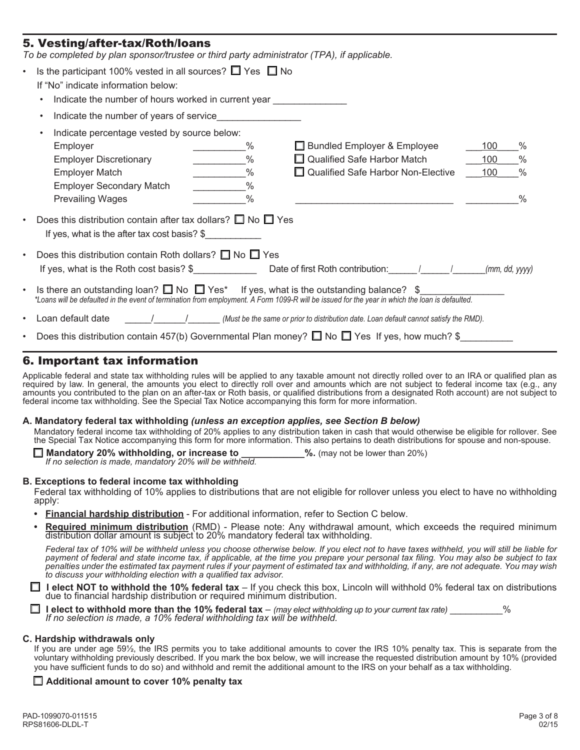|           | 5. Vesting/after-tax/Roth/loans<br>To be completed by plan sponsor/trustee or third party administrator (TPA), if applicable.                                                                                                                                                                                                                                                                        |
|-----------|------------------------------------------------------------------------------------------------------------------------------------------------------------------------------------------------------------------------------------------------------------------------------------------------------------------------------------------------------------------------------------------------------|
| $\bullet$ | Is the participant 100% vested in all sources? $\Box$ Yes $\Box$ No<br>If "No" indicate information below:<br>Indicate the number of hours worked in current year                                                                                                                                                                                                                                    |
|           | Indicate the number of years of service<br>٠                                                                                                                                                                                                                                                                                                                                                         |
|           | Indicate percentage vested by source below:<br>□ Bundled Employer & Employee<br>$\frac{0}{0}$<br>Employer<br>$\%$<br>100<br>$\%$<br>Qualified Safe Harbor Match<br>$\%$<br>100<br><b>Employer Discretionary</b><br>Qualified Safe Harbor Non-Elective<br>$\%$<br><b>Employer Match</b><br>$\%$<br>100<br>$\%$<br><b>Employer Secondary Match</b><br>$\%$<br><b>Prevailing Wages</b><br>$\frac{0}{0}$ |
| $\bullet$ | Does this distribution contain after tax dollars? $\square$ No $\square$ Yes<br>If yes, what is the after tax cost basis? \$                                                                                                                                                                                                                                                                         |
| $\bullet$ | Does this distribution contain Roth dollars? $\square$ No $\square$ Yes<br>If yes, what is the Roth cost basis? $\frac{1}{2}$ Date of first Roth contribution: $\frac{1}{2}$<br>(mm, dd, yyyy)                                                                                                                                                                                                       |
| $\bullet$ | Is there an outstanding loan? $\square$ No $\square$ Yes* If yes, what is the outstanding balance? \$<br>*Loans will be defaulted in the event of termination from employment. A Form 1099-R will be issued for the year in which the loan is defaulted.                                                                                                                                             |
| $\bullet$ | Loan default date<br>(Must be the same or prior to distribution date. Loan default cannot satisfy the RMD).                                                                                                                                                                                                                                                                                          |
|           | Does this distribution contain 457(b) Governmental Plan money? $\square$ No $\square$ Yes If yes, how much? \$                                                                                                                                                                                                                                                                                       |

# 6. Important tax information

Applicable federal and state tax withholding rules will be applied to any taxable amount not directly rolled over to an IRA or qualified plan as required by law. In general, the amounts you elect to directly roll over and amounts which are not subject to federal income tax (e.g., any amounts you contributed to the plan on an after-tax or Roth basis, or qualified distributions from a designated Roth account) are not subject to federal income tax withholding. See the Special Tax Notice accompanying this form for more information.

#### **A. Mandatory federal tax withholding** *(unless an exception applies, see Section B below)*

Mandatory federal income tax withholding of 20% applies to any distribution taken in cash that would otherwise be eligible for rollover. See the Special Tax Notice accompanying this form for more information. This also pertains to death distributions for spouse and non-spouse.

**h Mandatory 20% withholding, or increase to \_\_\_\_\_\_\_\_\_\_\_\_%.** (may not be lower than 20%) *If no selection is made, mandatory 20% will be withheld.*

#### **B. Exceptions to federal income tax withholding**

Federal tax withholding of 10% applies to distributions that are not eligible for rollover unless you elect to have no withholding apply:

- **Financial hardship distribution** For additional information, refer to Section C below.
- Required minimum distribution (RMD) Please note: Any withdrawal amount, which exceeds the required minimum distribution dollar amount is subject to 20% mandatory federal tax withholding.

*Federal tax of 10% will be withheld unless you choose otherwise below. If you elect not to have taxes withheld, you will still be liable for payment of federal and state income tax, if applicable, at the time you prepare your personal tax filing. You may also be subject to tax penalties under the estimated tax payment rules if your payment of estimated tax and withholding, if any, are not adequate. You may wish to discuss your withholding election with a qualified tax advisor.*

- **H** I elect NOT to withhold the 10% federal tax If you check this box, Lincoln will withhold 0% federal tax on distributions due to financial hardship distribution or required minimum distribution.
- <sup>h</sup> **I elect to withhold more than the 10% federal tax** *(may elect withholding up to your current tax rate)* \_\_\_\_\_\_\_\_\_\_% *If no selection is made, a 10% federal withholding tax will be withheld.*

#### **C. Hardship withdrawals only**

If you are under age 59½, the IRS permits you to take additional amounts to cover the IRS 10% penalty tax. This is separate from the voluntary withholding previously described. If you mark the box below, we will increase the requested distribution amount by 10% (provided you have sufficient funds to do so) and withhold and remit the additional amount to the IRS on your behalf as a tax withholding.

#### □ Additional amount to cover 10% penalty tax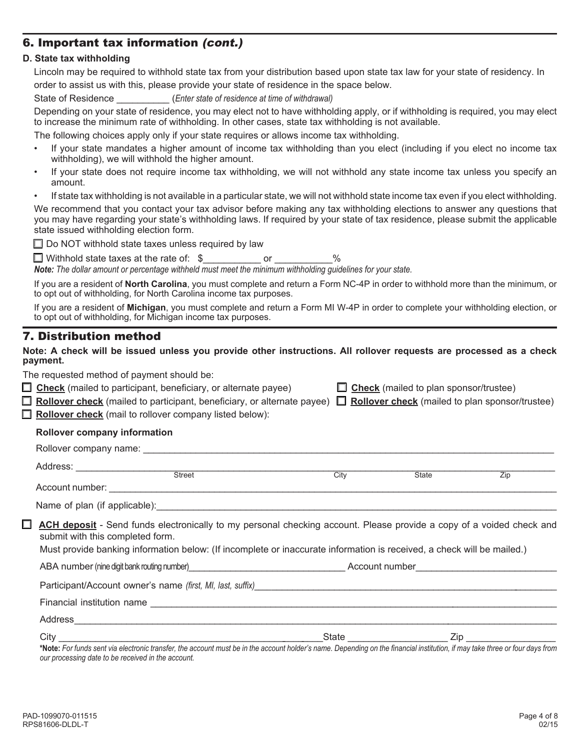# 6. Important tax information (cont.)

### **D. State tax withholding**

Lincoln may be required to withhold state tax from your distribution based upon state tax law for your state of residency. In order to assist us with this, please provide your state of residence in the space below.

State of Residence \_\_\_\_\_\_\_\_\_\_ (*Enter state of residence at time of withdrawal)*

Depending on your state of residence, you may elect not to have withholding apply, or if withholding is required, you may elect to increase the minimum rate of withholding. In other cases, state tax withholding is not available.

The following choices apply only if your state requires or allows income tax withholding.

- If your state mandates a higher amount of income tax withholding than you elect (including if you elect no income tax withholding), we will withhold the higher amount.
- If your state does not require income tax withholding, we will not withhold any state income tax unless you specify an amount.
- If state tax withholding is not available in a particular state, we will not withhold state income tax even if you elect withholding.

We recommend that you contact your tax advisor before making any tax withholding elections to answer any questions that you may have regarding your state's withholding laws. If required by your state of tax residence, please submit the applicable state issued withholding election form.

 $\square$  Do NOT withhold state taxes unless required by law

 $\Box$  Withhold state taxes at the rate of:  $\,$  \$  $\,$  or  $\,$   $\,$  %

*Note: The dollar amount or percentage withheld must meet the minimum withholding guidelines for your state.*

If you are a resident of **North Carolina**, you must complete and return a Form NC-4P in order to withhold more than the minimum, or to opt out of withholding, for North Carolina income tax purposes.

If you are a resident of **Michigan**, you must complete and return a Form MI W-4P in order to complete your withholding election, or to opt out of withholding, for Michigan income tax purposes.

# 7. Distribution method

| Note: A check will be issued unless you provide other instructions. All rollover requests are processed as a check |  |  |  |  |
|--------------------------------------------------------------------------------------------------------------------|--|--|--|--|
| payment.                                                                                                           |  |  |  |  |

The requested method of payment should be:

| ш. | <b>Check</b> (mailed to participant, beneficiary, or alternate payee)<br><b>Rollover check</b> (mailed to participant, beneficiary, or alternate payee) $\Box$ <b>Rollover check</b> (mailed to plan sponsor/trustee)<br>$\Box$ Rollover check (mail to rollover company listed below):   | $\Box$ Check (mailed to plan sponsor/trustee) |                  |  |
|----|-------------------------------------------------------------------------------------------------------------------------------------------------------------------------------------------------------------------------------------------------------------------------------------------|-----------------------------------------------|------------------|--|
|    | <b>Rollover company information</b>                                                                                                                                                                                                                                                       |                                               |                  |  |
|    |                                                                                                                                                                                                                                                                                           |                                               |                  |  |
|    | Address: City                                                                                                                                                                                                                                                                             |                                               |                  |  |
|    |                                                                                                                                                                                                                                                                                           | <b>State</b>                                  | $\overline{Zip}$ |  |
|    |                                                                                                                                                                                                                                                                                           |                                               |                  |  |
|    | <b>ACH deposit</b> - Send funds electronically to my personal checking account. Please provide a copy of a voided check and<br>submit with this completed form.<br>Must provide banking information below: (If incomplete or inaccurate information is received, a check will be mailed.) |                                               |                  |  |
|    |                                                                                                                                                                                                                                                                                           |                                               |                  |  |
|    |                                                                                                                                                                                                                                                                                           |                                               |                  |  |
|    |                                                                                                                                                                                                                                                                                           |                                               |                  |  |
|    |                                                                                                                                                                                                                                                                                           |                                               |                  |  |
|    | City Zip                                                                                                                                                                                                                                                                                  |                                               |                  |  |
|    | *Note: For funds sent via electronic transfer, the account must be in the account holder's name. Depending on the financial institution, if may take three or four days from                                                                                                              |                                               |                  |  |

*our processing date to be received in the account.*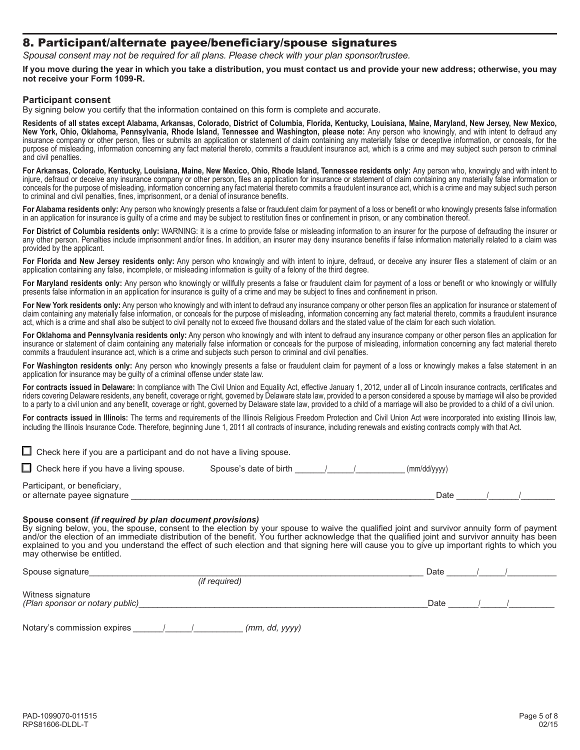# 8. Participant/alternate payee/beneficiary/spouse signatures

*Spousal consent may not be required for all plans. Please check with your plan sponsor/trustee.*

**If you move during the year in which you take a distribution, you must contact us and provide your new address; otherwise, you may not receive your Form 1099-R.**

#### **Participant consent**

By signing below you certify that the information contained on this form is complete and accurate.

**Residents of all states except Alabama, Arkansas, Colorado, District of Columbia, Florida, Kentucky, Louisiana, Maine, Maryland, New Jersey, New Mexico,**  New York, Ohio, Oklahoma, Pennsylvania, Rhode Island, Tennessee and Washington, please note: Any person who knowingly, and with intent to defraud any insurance company or other person, files or submits an application or statement of claim containing any materially false or deceptive information, or conceals, for the purpose of misleading, information concerning any fact material thereto, commits a fraudulent insurance act, which is a crime and may subject such person to criminal and civil penalties.

For Arkansas, Colorado, Kentucky, Louisiana, Maine, New Mexico, Ohio, Rhode Island, Tennessee residents only: Any person who, knowingly and with intent to injure, defraud or deceive any insurance company or other person, files an application for insurance or statement of claim containing any materially false information or conceals for the purpose of misleading, information concerning any fact material thereto commits a fraudulent insurance act, which is a crime and may subject such person to criminal and civil penalties, fines, imprisonment, or a denial of insurance benefits.

**For Alabama residents only:** Any person who knowingly presents a false or fraudulent claim for payment of a loss or benefit or who knowingly presents false information in an application for insurance is guilty of a crime and may be subject to restitution fines or confinement in prison, or any combination thereof.

**For District of Columbia residents only:** WARNING: it is a crime to provide false or misleading information to an insurer for the purpose of defrauding the insurer or any other person. Penalties include imprisonment and/or fines. In addition, an insurer may deny insurance benefits if false information materially related to a claim was provided by the applicant.

For Florida and New Jersey residents only: Any person who knowingly and with intent to injure, defraud, or deceive any insurer files a statement of claim or an application containing any false, incomplete, or misleading information is guilty of a felony of the third degree.

For Maryland residents only: Any person who knowingly or willfully presents a false or fraudulent claim for payment of a loss or benefit or who knowingly or willfully presents false information in an application for insurance is guilty of a crime and may be subject to fines and confinement in prison.

**For New York residents only:** Any person who knowingly and with intent to defraud any insurance company or other person files an application for insurance or statement of claim containing any materially false information, or conceals for the purpose of misleading, information concerning any fact material thereto, commits a fraudulent insurance act, which is a crime and shall also be subject to civil penalty not to exceed five thousand dollars and the stated value of the claim for each such violation.

**For Oklahoma and Pennsylvania residents only:** Any person who knowingly and with intent to defraud any insurance company or other person files an application for insurance or statement of claim containing any materially false information or conceals for the purpose of misleading, information concerning any fact material thereto commits a fraudulent insurance act, which is a crime and subjects such person to criminal and civil penalties.

For Washington residents only: Any person who knowingly presents a false or fraudulent claim for payment of a loss or knowingly makes a false statement in an application for insurance may be guilty of a criminal offense under state law.

For contracts issued in Delaware: In compliance with The Civil Union and Equality Act, effective January 1, 2012, under all of Lincoln insurance contracts, certificates and riders covering Delaware residents, any benefit, coverage or right, governed by Delaware state law, provided to a person considered a spouse by marriage will also be provided to a party to a civil union and any benefit, coverage or right, governed by Delaware state law, provided to a child of a marriage will also be provided to a child of a civil union.

**For contracts issued in Illinois:** The terms and requirements of the Illinois Religious Freedom Protection and Civil Union Act were incorporated into existing Illinois law, including the Illinois Insurance Code. Therefore, beginning June 1, 2011 all contracts of insurance, including renewals and existing contracts comply with that Act.

 $\Box$  Check here if you are a participant and do not have a living spouse.

 $\Box$  Check here if you have a living spouse. Spouse's date of birth  $\Box$  /  $\Box$  (mm/dd/yyyy)

| Participant, or beneficiary, |      |  |  |
|------------------------------|------|--|--|
| or alternate payee signature | ⊃ate |  |  |

#### **Spouse consent** *(if required by plan document provisions)*

By signing below, you, the spouse, consent to the election by your spouse to waive the qualified joint and survivor annuity form of payment and/or the election of an immediate distribution of the benefit. You further acknowledge that the qualified joint and survivor annuity has been explained to you and you understand the effect of such election and that signing here will cause you to give up important rights to which you may otherwise be entitled.

| Spouse signature                                     |                      | Date |  |  |
|------------------------------------------------------|----------------------|------|--|--|
|                                                      | <i>(if required)</i> |      |  |  |
| Witness signature<br>(Plan sponsor or notary public) |                      | Date |  |  |

| Notary's commission expires |  |  |  | (mm, dd, yyyy) |
|-----------------------------|--|--|--|----------------|
|-----------------------------|--|--|--|----------------|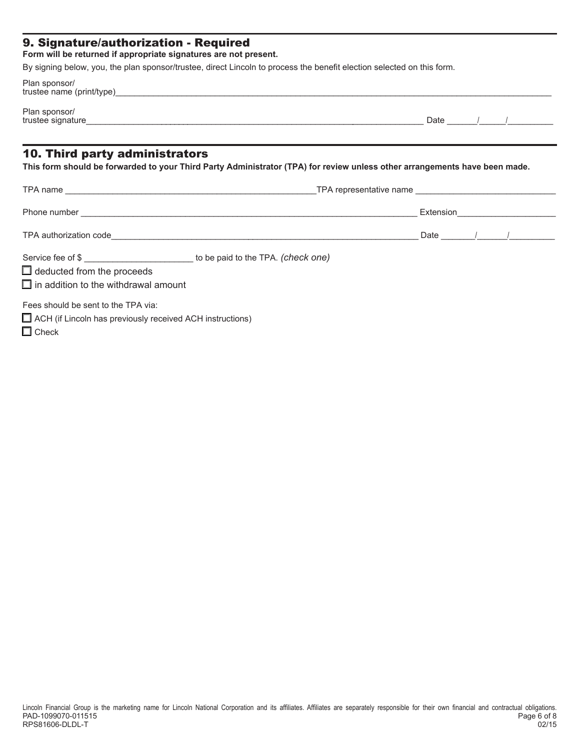## 9. Signature/authorization - Required

**Form will be returned if appropriate signatures are not present.**

By signing below, you, the plan sponsor/trustee, direct Lincoln to process the benefit election selected on this form.

Plan sponsor/ trustee name (print/type)\_\_\_\_

Plan sponsor/<br>trustee signature\_

 $t$  and  $t$  and  $t$  and  $t$  are  $t$  and  $t$  are  $t$  and  $t$  are  $t$  and  $t$  and  $t$  are  $t$  and  $t$  are  $t$  and  $t$  and  $t$  and  $t$  are  $t$  and  $t$  and  $t$  and  $t$  and  $t$  and  $t$  and  $t$  and  $t$  and  $t$  and  $t$  and  $t$  a

# 10. Third party administrators

**This form should be forwarded to your Third Party Administrator (TPA) for review unless other arrangements have been made.**

|                                                                                                                                                                                                                               | Extension <u>_______________</u> |  |
|-------------------------------------------------------------------------------------------------------------------------------------------------------------------------------------------------------------------------------|----------------------------------|--|
| TPA authorization code and the state of the state of the state of the state of the state of the state of the state of the state of the state of the state of the state of the state of the state of the state of the state of | Date $\frac{1}{2}$               |  |
| Service fee of \$<br>$\Box$ deducted from the proceeds<br>$\Box$ in addition to the withdrawal amount                                                                                                                         |                                  |  |
| Fees should be sent to the TPA via:<br>ACH (if Lincoln has previously received ACH instructions)<br>$\Box$ Check                                                                                                              |                                  |  |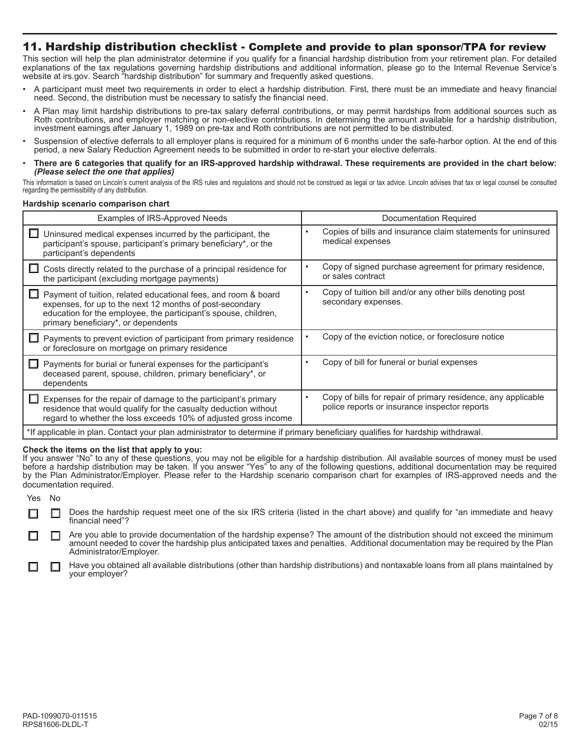## 11. Hardship distribution checklist - Complete and provide to plan sponsor/TPA for review

This section will help the plan administrator determine if you qualify for a financial hardship distribution from your retirement plan. For detailed explanations of the tax regulations governing hardship distributions and additional information, please go to the Internal Revenue Service's website at irs.gov. Search "hardship distribution" for summary and frequently asked questions.

- A participant must meet two requirements in order to elect a hardship distribution. First, there must be an immediate and heavy financial need. Second, the distribution must be necessary to satisfy the financial need.
- A Plan may limit hardship distributions to pre-tax salary deferral contributions, or may permit hardships from additional sources such as Roth contributions, and employer matching or non-elective contributions. In determining the amount available for a hardship distribution, investment earnings after January 1, 1989 on pre-tax and Roth contributions are not permitted to be distributed.
- Suspension of elective deferrals to all employer plans is required for a minimum of 6 months under the safe-harbor option. At the end of this period, a new Salary Reduction Agreement needs to be submitted in order to re-start your elective deferrals.
- **There are 6 categories that qualify for an IRS-approved hardship withdrawal. These requirements are provided in the chart below:** *(Please select the one that applies)*

This information is based on Lincoln's current analysis of the IRS rules and regulations and should not be construed as legal or tax advice. Lincoln advises that tax or legal counsel be consulted regarding the permissibility of any distribution.

#### **Hardship scenario comparison chart**

| Examples of IRS-Approved Needs                                                                                                                                                                                                              | Documentation Required                                                                                         |
|---------------------------------------------------------------------------------------------------------------------------------------------------------------------------------------------------------------------------------------------|----------------------------------------------------------------------------------------------------------------|
| $\Box$ Uninsured medical expenses incurred by the participant, the<br>participant's spouse, participant's primary beneficiary*, or the<br>participant's dependents                                                                          | Copies of bills and insurance claim statements for uninsured<br>٠<br>medical expenses                          |
| Costs directly related to the purchase of a principal residence for<br>the participant (excluding mortgage payments)                                                                                                                        | Copy of signed purchase agreement for primary residence,<br>or sales contract                                  |
| $\Box$ Payment of tuition, related educational fees, and room & board<br>expenses, for up to the next 12 months of post-secondary<br>education for the employee, the participant's spouse, children,<br>primary beneficiary*, or dependents | Copy of tuition bill and/or any other bills denoting post<br>secondary expenses.                               |
| Payments to prevent eviction of participant from primary residence<br>or foreclosure on mortgage on primary residence                                                                                                                       | Copy of the eviction notice, or foreclosure notice                                                             |
| Payments for burial or funeral expenses for the participant's<br>ш.<br>deceased parent, spouse, children, primary beneficiary*, or<br>dependents                                                                                            | Copy of bill for funeral or burial expenses                                                                    |
| Expenses for the repair of damage to the participant's primary<br>residence that would qualify for the casualty deduction without<br>regard to whether the loss exceeds 10% of adjusted gross income                                        | Copy of bills for repair of primary residence, any applicable<br>police reports or insurance inspector reports |
| *If applicable in plan. Contact your plan administrator to determine if primary beneficiary qualifies for hardship withdrawal.                                                                                                              |                                                                                                                |

#### **Check the items on the list that apply to you:**

If you answer "No" to any of these questions, you may not be eligible for a hardship distribution. All available sources of money must be used before a hardship distribution may be taken. If you answer "Yes" to any of the following questions, additional documentation may be required by the Plan Administrator/Employer. Please refer to the Hardship scenario comparison chart for examples of IRS-approved needs and the documentation required.

Yes No

 $\Box$  Does the hardship request meet one of the six IRS criteria (listed in the chart above) and qualify for "an immediate and heavy financial need"?

 $\Box$  Are you able to provide documentation of the hardship expense? The amount of the distribution should not exceed the minimum amount needed to cover the hardship plus anticipated taxes and penalties. Additional documentation may be required by the Plan Administrator/Employer.

 $\Box$  Have you obtained all available distributions (other than hardship distributions) and nontaxable loans from all plans maintained by your employer?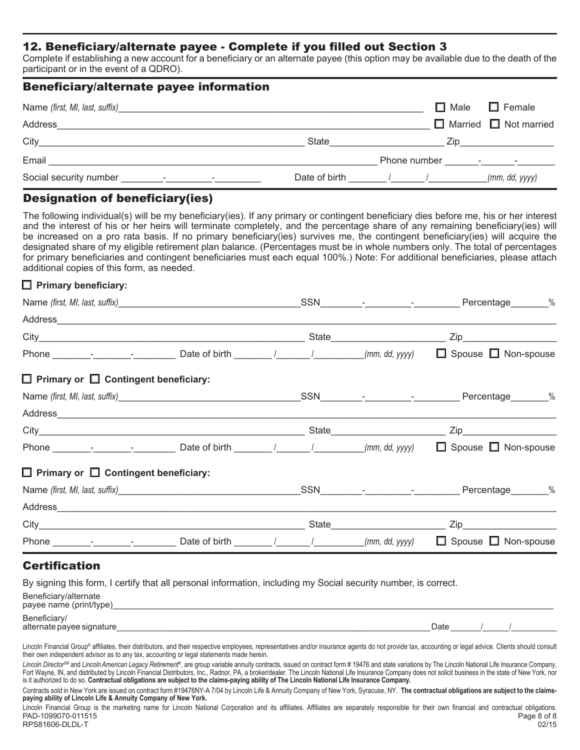# 12. Beneficiary/alternate payee - Complete if you filled out Section 3

Complete if establishing a new account for a beneficiary or an alternate payee (this option may be available due to the death of the participant or in the event of a QDRO).

| <b>Beneficiary/alternate payee information</b>             |                                                                                                                                                                                                                                |             |                                                                                                                                                                                                                                |
|------------------------------------------------------------|--------------------------------------------------------------------------------------------------------------------------------------------------------------------------------------------------------------------------------|-------------|--------------------------------------------------------------------------------------------------------------------------------------------------------------------------------------------------------------------------------|
|                                                            |                                                                                                                                                                                                                                | $\Box$ Male | $\Box$ Female                                                                                                                                                                                                                  |
|                                                            |                                                                                                                                                                                                                                |             | $\Box$ Married $\Box$ Not married                                                                                                                                                                                              |
|                                                            | State <u>__________</u>                                                                                                                                                                                                        |             | Zip and the contract of the contract of the contract of the contract of the contract of the contract of the contract of the contract of the contract of the contract of the contract of the contract of the contract of the co |
| Email                                                      |                                                                                                                                                                                                                                |             |                                                                                                                                                                                                                                |
| Social security number <b>contains the security number</b> | Date of birth the top of the term of the term of the term of the term of the term of the term of the term of the term of the term of the term of the term of the term of the term of the term of the term of the term of the t |             | (mm, dd, yyyy)                                                                                                                                                                                                                 |

### Designation of beneficiary(ies)

The following individual(s) will be my beneficiary(ies). If any primary or contingent beneficiary dies before me, his or her interest and the interest of his or her heirs will terminate completely, and the percentage share of any remaining beneficiary(ies) will be increased on a pro rata basis. If no primary beneficiary(ies) survives me, the contingent beneficiary(ies) will acquire the designated share of my eligible retirement plan balance. (Percentages must be in whole numbers only. The total of percentages for primary beneficiaries and contingent beneficiaries must each equal 100%.) Note: For additional beneficiaries, please attach additional copies of this form, as needed.

### $\Box$  Primary beneficiary:

| Phone $\frac{1}{\sqrt{1-\frac{1}{\sqrt{1-\frac{1}{\sqrt{1-\frac{1}{\sqrt{1-\frac{1}{\sqrt{1-\frac{1}{\sqrt{1-\frac{1}{\sqrt{1-\frac{1}{\sqrt{1-\frac{1}{\sqrt{1-\frac{1}{\sqrt{1-\frac{1}{\sqrt{1-\frac{1}{\sqrt{1-\frac{1}{\sqrt{1-\frac{1}{\sqrt{1-\frac{1}{\sqrt{1-\frac{1}{\sqrt{1-\frac{1}{\sqrt{1-\frac{1}{\sqrt{1-\frac{1}{\sqrt{1-\frac{1}{\sqrt{1-\frac{1}{\sqrt{1-\frac{1}{\sqrt{1-\frac{1}{\sqrt{1-\frac{1}{\sqrt$ |  |  |                                 |
|-------------------------------------------------------------------------------------------------------------------------------------------------------------------------------------------------------------------------------------------------------------------------------------------------------------------------------------------------------------------------------------------------------------------------------|--|--|---------------------------------|
| $\Box$ Primary or $\Box$ Contingent beneficiary:                                                                                                                                                                                                                                                                                                                                                                              |  |  |                                 |
|                                                                                                                                                                                                                                                                                                                                                                                                                               |  |  |                                 |
|                                                                                                                                                                                                                                                                                                                                                                                                                               |  |  |                                 |
|                                                                                                                                                                                                                                                                                                                                                                                                                               |  |  |                                 |
|                                                                                                                                                                                                                                                                                                                                                                                                                               |  |  | $\Box$ Spouse $\Box$ Non-spouse |
| $\Box$ Primary or $\Box$ Contingent beneficiary:                                                                                                                                                                                                                                                                                                                                                                              |  |  |                                 |
|                                                                                                                                                                                                                                                                                                                                                                                                                               |  |  |                                 |
|                                                                                                                                                                                                                                                                                                                                                                                                                               |  |  |                                 |
|                                                                                                                                                                                                                                                                                                                                                                                                                               |  |  |                                 |
|                                                                                                                                                                                                                                                                                                                                                                                                                               |  |  | $\Box$ Spouse $\Box$ Non-spouse |

# Certification

By signing this form, I certify that all personal information, including my Social security number, is correct.

| Beneficiary/alternate<br>payee name (print/type) |      |  |
|--------------------------------------------------|------|--|
| Beneficiary/<br>alternate payee signature        | Date |  |

Lincoln Financial Group® affiliates, their distributors, and their respective employees, representatives and/or insurance agents do not provide tax, accounting or legal advice. Clients should consult their own independent advisor as to any tax, accounting or legal statements made herein.

Lincoln Director<sup>sM</sup> and Lincoln American Legacy Retirement®, are group variable annuity contracts, issued on contract form # 19476 and state variations by The Lincoln National Life Insurance Company, Fort Wayne, IN, and distributed by Lincoln Financial Distributors, Inc., Radnor, PA, a broker/dealer. The Lincoln National Life Insurance Company does not solicit business in the state of New York, nor is it authorized to do so. **Contractual obligations are subject to the claims-paying ability of The Lincoln National Life Insurance Company.**

Lincoln Financial Group is the marketing name for Lincoln National Corporation and its affiliates. Affiliates are separately responsible for their own financial and contractual obligations. PAD-1099070-011515 Page 8 of 8

RPS81606-DLDL-T

Contracts sold in New York are issued on contract form #19476NY-A 7/04 by Lincoln Life & Annuity Company of New York, Syracuse, NY. **The contractual obligations are subject to the claimspaying ability of Lincoln Life & Annuity Company of New York.**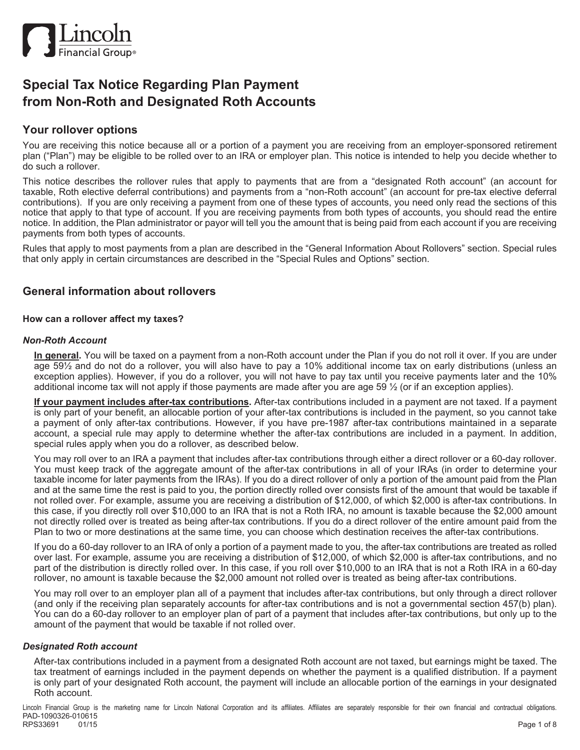

# **Special Tax Notice Regarding Plan Payment from Non-Roth and Designated Roth Accounts**

# **Your rollover options**

You are receiving this notice because all or a portion of a payment you are receiving from an employer-sponsored retirement plan ("Plan") may be eligible to be rolled over to an IRA or employer plan. This notice is intended to help you decide whether to do such a rollover.

This notice describes the rollover rules that apply to payments that are from a "designated Roth account" (an account for taxable, Roth elective deferral contributions) and payments from a "non-Roth account" (an account for pre-tax elective deferral contributions). If you are only receiving a payment from one of these types of accounts, you need only read the sections of this notice that apply to that type of account. If you are receiving payments from both types of accounts, you should read the entire notice. In addition, the Plan administrator or payor will tell you the amount that is being paid from each account if you are receiving payments from both types of accounts.

Rules that apply to most payments from a plan are described in the "General Information About Rollovers" section. Special rules that only apply in certain circumstances are described in the "Special Rules and Options" section.

# **General information about rollovers**

#### **How can a rollover affect my taxes?**

#### *Non-Roth Account*

**In general.** You will be taxed on a payment from a non-Roth account under the Plan if you do not roll it over. If you are under age 59½ and do not do a rollover, you will also have to pay a 10% additional income tax on early distributions (unless an exception applies). However, if you do a rollover, you will not have to pay tax until you receive payments later and the 10% additional income tax will not apply if those payments are made after you are age 59 ½ (or if an exception applies).

**If your payment includes after-tax contributions.** After-tax contributions included in a payment are not taxed. If a payment is only part of your benefit, an allocable portion of your after-tax contributions is included in the payment, so you cannot take a payment of only after-tax contributions. However, if you have pre-1987 after-tax contributions maintained in a separate account, a special rule may apply to determine whether the after-tax contributions are included in a payment. In addition, special rules apply when you do a rollover, as described below.

You may roll over to an IRA a payment that includes after-tax contributions through either a direct rollover or a 60-day rollover. You must keep track of the aggregate amount of the after-tax contributions in all of your IRAs (in order to determine your taxable income for later payments from the IRAs). If you do a direct rollover of only a portion of the amount paid from the Plan and at the same time the rest is paid to you, the portion directly rolled over consists first of the amount that would be taxable if not rolled over. For example, assume you are receiving a distribution of \$12,000, of which \$2,000 is after-tax contributions. In this case, if you directly roll over \$10,000 to an IRA that is not a Roth IRA, no amount is taxable because the \$2,000 amount not directly rolled over is treated as being after-tax contributions. If you do a direct rollover of the entire amount paid from the Plan to two or more destinations at the same time, you can choose which destination receives the after-tax contributions.

If you do a 60-day rollover to an IRA of only a portion of a payment made to you, the after-tax contributions are treated as rolled over last. For example, assume you are receiving a distribution of \$12,000, of which \$2,000 is after-tax contributions, and no part of the distribution is directly rolled over. In this case, if you roll over \$10,000 to an IRA that is not a Roth IRA in a 60-day rollover, no amount is taxable because the \$2,000 amount not rolled over is treated as being after-tax contributions.

You may roll over to an employer plan all of a payment that includes after-tax contributions, but only through a direct rollover (and only if the receiving plan separately accounts for after-tax contributions and is not a governmental section 457(b) plan). You can do a 60-day rollover to an employer plan of part of a payment that includes after-tax contributions, but only up to the amount of the payment that would be taxable if not rolled over.

#### *Designated Roth account*

After-tax contributions included in a payment from a designated Roth account are not taxed, but earnings might be taxed. The tax treatment of earnings included in the payment depends on whether the payment is a qualified distribution. If a payment is only part of your designated Roth account, the payment will include an allocable portion of the earnings in your designated Roth account.

Lincoln Financial Group is the marketing name for Lincoln National Corporation and its affiliates. Affiliates are separately responsible for their own financial and contractual obligations. PAD-1090326-010615<br>RPS33691 01/15 RPS33691 01/15 Page 1 of 8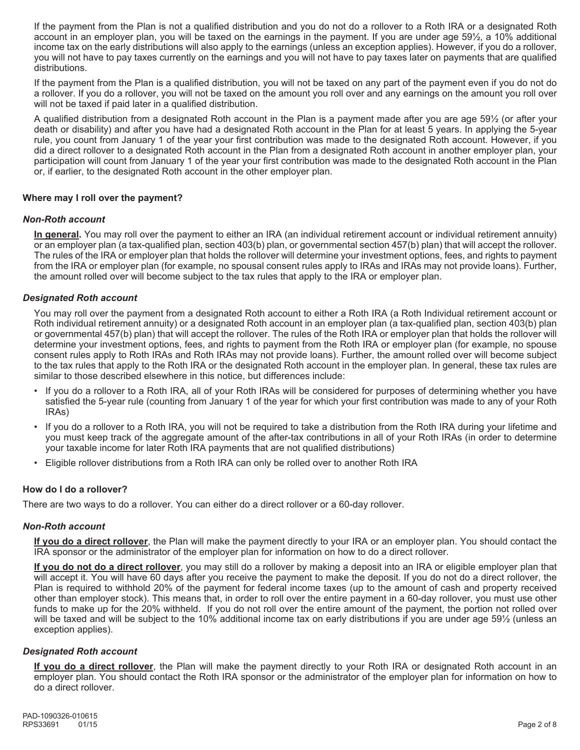If the payment from the Plan is not a qualified distribution and you do not do a rollover to a Roth IRA or a designated Roth account in an employer plan, you will be taxed on the earnings in the payment. If you are under age 59½, a 10% additional income tax on the early distributions will also apply to the earnings (unless an exception applies). However, if you do a rollover, you will not have to pay taxes currently on the earnings and you will not have to pay taxes later on payments that are qualified distributions.

If the payment from the Plan is a qualified distribution, you will not be taxed on any part of the payment even if you do not do a rollover. If you do a rollover, you will not be taxed on the amount you roll over and any earnings on the amount you roll over will not be taxed if paid later in a qualified distribution.

A qualified distribution from a designated Roth account in the Plan is a payment made after you are age 59½ (or after your death or disability) and after you have had a designated Roth account in the Plan for at least 5 years. In applying the 5-year rule, you count from January 1 of the year your first contribution was made to the designated Roth account. However, if you did a direct rollover to a designated Roth account in the Plan from a designated Roth account in another employer plan, your participation will count from January 1 of the year your first contribution was made to the designated Roth account in the Plan or, if earlier, to the designated Roth account in the other employer plan.

#### **Where may I roll over the payment?**

#### *Non-Roth account*

**In general.** You may roll over the payment to either an IRA (an individual retirement account or individual retirement annuity) or an employer plan (a tax-qualified plan, section 403(b) plan, or governmental section 457(b) plan) that will accept the rollover. The rules of the IRA or employer plan that holds the rollover will determine your investment options, fees, and rights to payment from the IRA or employer plan (for example, no spousal consent rules apply to IRAs and IRAs may not provide loans). Further, the amount rolled over will become subject to the tax rules that apply to the IRA or employer plan.

### *Designated Roth account*

You may roll over the payment from a designated Roth account to either a Roth IRA (a Roth Individual retirement account or Roth individual retirement annuity) or a designated Roth account in an employer plan (a tax-qualified plan, section 403(b) plan or governmental 457(b) plan) that will accept the rollover. The rules of the Roth IRA or employer plan that holds the rollover will determine your investment options, fees, and rights to payment from the Roth IRA or employer plan (for example, no spouse consent rules apply to Roth IRAs and Roth IRAs may not provide loans). Further, the amount rolled over will become subject to the tax rules that apply to the Roth IRA or the designated Roth account in the employer plan. In general, these tax rules are similar to those described elsewhere in this notice, but differences include:

- If you do a rollover to a Roth IRA, all of your Roth IRAs will be considered for purposes of determining whether you have satisfied the 5-year rule (counting from January 1 of the year for which your first contribution was made to any of your Roth IRAs)
- If you do a rollover to a Roth IRA, you will not be required to take a distribution from the Roth IRA during your lifetime and you must keep track of the aggregate amount of the after-tax contributions in all of your Roth IRAs (in order to determine your taxable income for later Roth IRA payments that are not qualified distributions)
- Eligible rollover distributions from a Roth IRA can only be rolled over to another Roth IRA

#### **How do I do a rollover?**

There are two ways to do a rollover. You can either do a direct rollover or a 60-day rollover.

#### *Non-Roth account*

**If you do a direct rollover**, the Plan will make the payment directly to your IRA or an employer plan. You should contact the IRA sponsor or the administrator of the employer plan for information on how to do a direct rollover.

**If you do not do a direct rollover**, you may still do a rollover by making a deposit into an IRA or eligible employer plan that will accept it. You will have 60 days after you receive the payment to make the deposit. If you do not do a direct rollover, the Plan is required to withhold 20% of the payment for federal income taxes (up to the amount of cash and property received other than employer stock). This means that, in order to roll over the entire payment in a 60-day rollover, you must use other funds to make up for the 20% withheld. If you do not roll over the entire amount of the payment, the portion not rolled over will be taxed and will be subject to the 10% additional income tax on early distributions if you are under age 59½ (unless an exception applies).

#### *Designated Roth account*

**If you do a direct rollover**, the Plan will make the payment directly to your Roth IRA or designated Roth account in an employer plan. You should contact the Roth IRA sponsor or the administrator of the employer plan for information on how to do a direct rollover.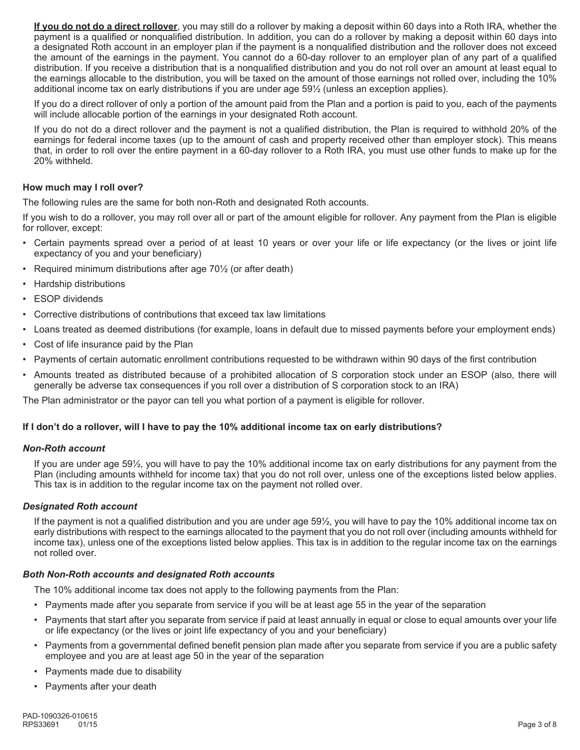**If you do not do a direct rollover**, you may still do a rollover by making a deposit within 60 days into a Roth IRA, whether the payment is a qualified or nonqualified distribution. In addition, you can do a rollover by making a deposit within 60 days into a designated Roth account in an employer plan if the payment is a nonqualified distribution and the rollover does not exceed the amount of the earnings in the payment. You cannot do a 60-day rollover to an employer plan of any part of a qualified distribution. If you receive a distribution that is a nonqualified distribution and you do not roll over an amount at least equal to the earnings allocable to the distribution, you will be taxed on the amount of those earnings not rolled over, including the 10% additional income tax on early distributions if you are under age 59½ (unless an exception applies).

If you do a direct rollover of only a portion of the amount paid from the Plan and a portion is paid to you, each of the payments will include allocable portion of the earnings in your designated Roth account.

If you do not do a direct rollover and the payment is not a qualified distribution, the Plan is required to withhold 20% of the earnings for federal income taxes (up to the amount of cash and property received other than employer stock). This means that, in order to roll over the entire payment in a 60-day rollover to a Roth IRA, you must use other funds to make up for the 20% withheld.

#### **How much may I roll over?**

The following rules are the same for both non-Roth and designated Roth accounts.

If you wish to do a rollover, you may roll over all or part of the amount eligible for rollover. Any payment from the Plan is eligible for rollover, except:

- Certain payments spread over a period of at least 10 years or over your life or life expectancy (or the lives or joint life expectancy of you and your beneficiary)
- Required minimum distributions after age 70½ (or after death)
- Hardship distributions
- **ESOP** dividends
- Corrective distributions of contributions that exceed tax law limitations
- Loans treated as deemed distributions (for example, loans in default due to missed payments before your employment ends)
- Cost of life insurance paid by the Plan
- Payments of certain automatic enrollment contributions requested to be withdrawn within 90 days of the first contribution
- Amounts treated as distributed because of a prohibited allocation of S corporation stock under an ESOP (also, there will generally be adverse tax consequences if you roll over a distribution of S corporation stock to an IRA)

The Plan administrator or the payor can tell you what portion of a payment is eligible for rollover.

#### **If I don't do a rollover, will I have to pay the 10% additional income tax on early distributions?**

#### *Non-Roth account*

If you are under age 59½, you will have to pay the 10% additional income tax on early distributions for any payment from the Plan (including amounts withheld for income tax) that you do not roll over, unless one of the exceptions listed below applies. This tax is in addition to the regular income tax on the payment not rolled over.

#### *Designated Roth account*

If the payment is not a qualified distribution and you are under age 59½, you will have to pay the 10% additional income tax on early distributions with respect to the earnings allocated to the payment that you do not roll over (including amounts withheld for income tax), unless one of the exceptions listed below applies. This tax is in addition to the regular income tax on the earnings not rolled over.

#### *Both Non-Roth accounts and designated Roth accounts*

The 10% additional income tax does not apply to the following payments from the Plan:

- Payments made after you separate from service if you will be at least age 55 in the year of the separation
- Payments that start after you separate from service if paid at least annually in equal or close to equal amounts over your life or life expectancy (or the lives or joint life expectancy of you and your beneficiary)
- Payments from a governmental defined benefit pension plan made after you separate from service if you are a public safety employee and you are at least age 50 in the year of the separation
- Payments made due to disability
- Payments after your death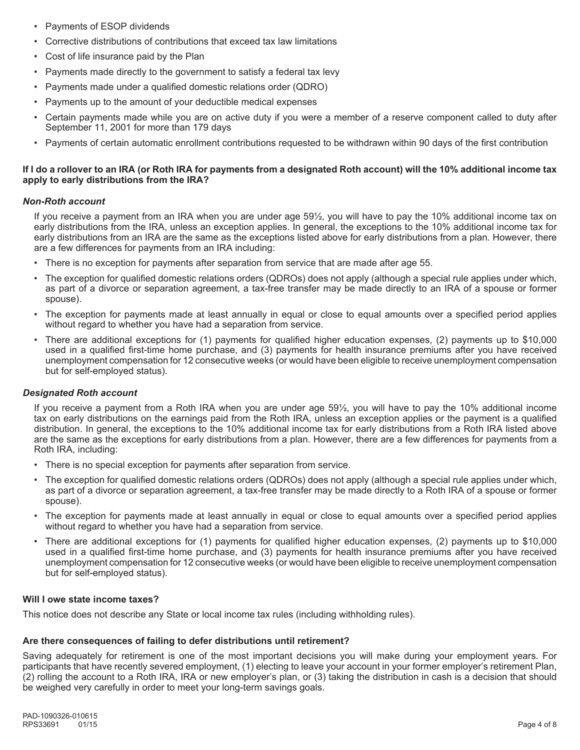- Payments of ESOP dividends
- Corrective distributions of contributions that exceed tax law limitations
- Cost of life insurance paid by the Plan
- Payments made directly to the government to satisfy a federal tax levy
- Payments made under a qualified domestic relations order (QDRO)
- Payments up to the amount of your deductible medical expenses
- Certain payments made while you are on active duty if you were a member of a reserve component called to duty after September 11, 2001 for more than 179 days
- Payments of certain automatic enrollment contributions requested to be withdrawn within 90 days of the first contribution

#### **If I do a rollover to an IRA (or Roth IRA for payments from a designated Roth account) will the 10% additional income tax apply to early distributions from the IRA?**

#### *Non-Roth account*

If you receive a payment from an IRA when you are under age 59½, you will have to pay the 10% additional income tax on early distributions from the IRA, unless an exception applies. In general, the exceptions to the 10% additional income tax for early distributions from an IRA are the same as the exceptions listed above for early distributions from a plan. However, there are a few differences for payments from an IRA including:

- There is no exception for payments after separation from service that are made after age 55.
- The exception for qualified domestic relations orders (QDROs) does not apply (although a special rule applies under which, as part of a divorce or separation agreement, a tax-free transfer may be made directly to an IRA of a spouse or former spouse).
- The exception for payments made at least annually in equal or close to equal amounts over a specified period applies without regard to whether you have had a separation from service.
- There are additional exceptions for (1) payments for qualified higher education expenses, (2) payments up to \$10,000 used in a qualified first-time home purchase, and (3) payments for health insurance premiums after you have received unemployment compensation for 12 consecutive weeks (or would have been eligible to receive unemployment compensation but for self-employed status).

#### *Designated Roth account*

If you receive a payment from a Roth IRA when you are under age 59½, you will have to pay the 10% additional income tax on early distributions on the earnings paid from the Roth IRA, unless an exception applies or the payment is a qualified distribution. In general, the exceptions to the 10% additional income tax for early distributions from a Roth IRA listed above are the same as the exceptions for early distributions from a plan. However, there are a few differences for payments from a Roth IRA, including:

- There is no special exception for payments after separation from service.
- The exception for qualified domestic relations orders (QDROs) does not apply (although a special rule applies under which, as part of a divorce or separation agreement, a tax-free transfer may be made directly to a Roth IRA of a spouse or former spouse).
- The exception for payments made at least annually in equal or close to equal amounts over a specified period applies without regard to whether you have had a separation from service.
- There are additional exceptions for (1) payments for qualified higher education expenses, (2) payments up to \$10,000 used in a qualified first-time home purchase, and (3) payments for health insurance premiums after you have received unemployment compensation for 12 consecutive weeks (or would have been eligible to receive unemployment compensation but for self-employed status).

#### **Will I owe state income taxes?**

This notice does not describe any State or local income tax rules (including withholding rules).

#### **Are there consequences of failing to defer distributions until retirement?**

Saving adequately for retirement is one of the most important decisions you will make during your employment years. For participants that have recently severed employment, (1) electing to leave your account in your former employer's retirement Plan, (2) rolling the account to a Roth IRA, IRA or new employer's plan, or (3) taking the distribution in cash is a decision that should be weighed very carefully in order to meet your long-term savings goals.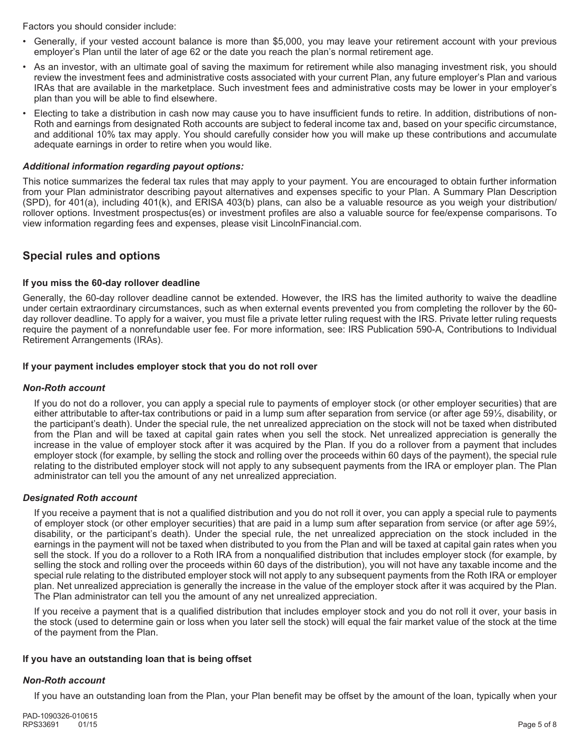Factors you should consider include:

- Generally, if your vested account balance is more than \$5,000, you may leave your retirement account with your previous employer's Plan until the later of age 62 or the date you reach the plan's normal retirement age.
- As an investor, with an ultimate goal of saving the maximum for retirement while also managing investment risk, you should review the investment fees and administrative costs associated with your current Plan, any future employer's Plan and various IRAs that are available in the marketplace. Such investment fees and administrative costs may be lower in your employer's plan than you will be able to find elsewhere.
- Electing to take a distribution in cash now may cause you to have insufficient funds to retire. In addition, distributions of non-Roth and earnings from designated Roth accounts are subject to federal income tax and, based on your specific circumstance, and additional 10% tax may apply. You should carefully consider how you will make up these contributions and accumulate adequate earnings in order to retire when you would like.

### *Additional information regarding payout options:*

This notice summarizes the federal tax rules that may apply to your payment. You are encouraged to obtain further information from your Plan administrator describing payout alternatives and expenses specific to your Plan. A Summary Plan Description (SPD), for 401(a), including 401(k), and ERISA 403(b) plans, can also be a valuable resource as you weigh your distribution/ rollover options. Investment prospectus(es) or investment profiles are also a valuable source for fee/expense comparisons. To view information regarding fees and expenses, please visit LincolnFinancial.com.

# **Special rules and options**

### **If you miss the 60-day rollover deadline**

Generally, the 60-day rollover deadline cannot be extended. However, the IRS has the limited authority to waive the deadline under certain extraordinary circumstances, such as when external events prevented you from completing the rollover by the 60 day rollover deadline. To apply for a waiver, you must file a private letter ruling request with the IRS. Private letter ruling requests require the payment of a nonrefundable user fee. For more information, see: IRS Publication 590-A, Contributions to Individual Retirement Arrangements (IRAs).

#### **If your payment includes employer stock that you do not roll over**

#### *Non-Roth account*

If you do not do a rollover, you can apply a special rule to payments of employer stock (or other employer securities) that are either attributable to after-tax contributions or paid in a lump sum after separation from service (or after age 59½, disability, or the participant's death). Under the special rule, the net unrealized appreciation on the stock will not be taxed when distributed from the Plan and will be taxed at capital gain rates when you sell the stock. Net unrealized appreciation is generally the increase in the value of employer stock after it was acquired by the Plan. If you do a rollover from a payment that includes employer stock (for example, by selling the stock and rolling over the proceeds within 60 days of the payment), the special rule relating to the distributed employer stock will not apply to any subsequent payments from the IRA or employer plan. The Plan administrator can tell you the amount of any net unrealized appreciation.

#### *Designated Roth account*

If you receive a payment that is not a qualified distribution and you do not roll it over, you can apply a special rule to payments of employer stock (or other employer securities) that are paid in a lump sum after separation from service (or after age 59½, disability, or the participant's death). Under the special rule, the net unrealized appreciation on the stock included in the earnings in the payment will not be taxed when distributed to you from the Plan and will be taxed at capital gain rates when you sell the stock. If you do a rollover to a Roth IRA from a nonqualified distribution that includes employer stock (for example, by selling the stock and rolling over the proceeds within 60 days of the distribution), you will not have any taxable income and the special rule relating to the distributed employer stock will not apply to any subsequent payments from the Roth IRA or employer plan. Net unrealized appreciation is generally the increase in the value of the employer stock after it was acquired by the Plan. The Plan administrator can tell you the amount of any net unrealized appreciation.

If you receive a payment that is a qualified distribution that includes employer stock and you do not roll it over, your basis in the stock (used to determine gain or loss when you later sell the stock) will equal the fair market value of the stock at the time of the payment from the Plan.

#### **If you have an outstanding loan that is being offset**

#### *Non-Roth account*

If you have an outstanding loan from the Plan, your Plan benefit may be offset by the amount of the loan, typically when your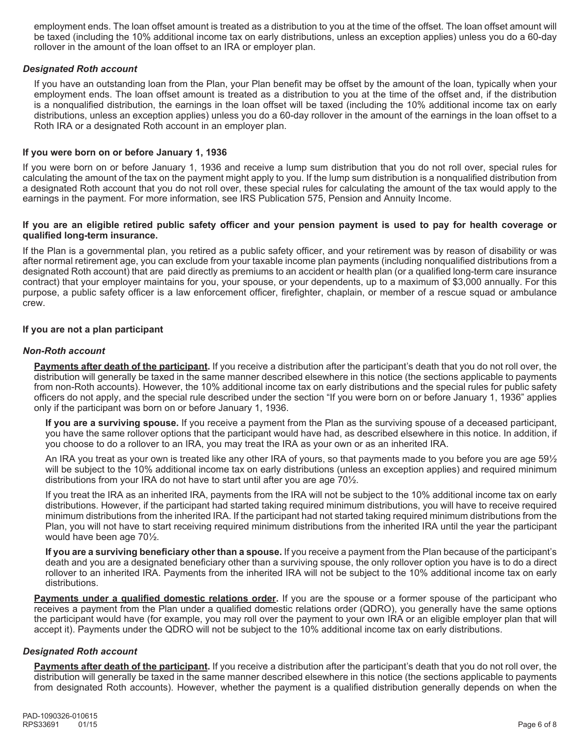employment ends. The loan offset amount is treated as a distribution to you at the time of the offset. The loan offset amount will be taxed (including the 10% additional income tax on early distributions, unless an exception applies) unless you do a 60-day rollover in the amount of the loan offset to an IRA or employer plan.

#### *Designated Roth account*

If you have an outstanding loan from the Plan, your Plan benefit may be offset by the amount of the loan, typically when your employment ends. The loan offset amount is treated as a distribution to you at the time of the offset and, if the distribution is a nonqualified distribution, the earnings in the loan offset will be taxed (including the 10% additional income tax on early distributions, unless an exception applies) unless you do a 60-day rollover in the amount of the earnings in the loan offset to a Roth IRA or a designated Roth account in an employer plan.

#### **If you were born on or before January 1, 1936**

If you were born on or before January 1, 1936 and receive a lump sum distribution that you do not roll over, special rules for calculating the amount of the tax on the payment might apply to you. If the lump sum distribution is a nonqualified distribution from a designated Roth account that you do not roll over, these special rules for calculating the amount of the tax would apply to the earnings in the payment. For more information, see IRS Publication 575, Pension and Annuity Income.

#### **If you are an eligible retired public safety officer and your pension payment is used to pay for health coverage or qualified long-term insurance.**

If the Plan is a governmental plan, you retired as a public safety officer, and your retirement was by reason of disability or was after normal retirement age, you can exclude from your taxable income plan payments (including nonqualified distributions from a designated Roth account) that are paid directly as premiums to an accident or health plan (or a qualified long-term care insurance contract) that your employer maintains for you, your spouse, or your dependents, up to a maximum of \$3,000 annually. For this purpose, a public safety officer is a law enforcement officer, firefighter, chaplain, or member of a rescue squad or ambulance crew.

#### **If you are not a plan participant**

#### *Non-Roth account*

**Payments after death of the participant.** If you receive a distribution after the participant's death that you do not roll over, the distribution will generally be taxed in the same manner described elsewhere in this notice (the sections applicable to payments from non-Roth accounts). However, the 10% additional income tax on early distributions and the special rules for public safety officers do not apply, and the special rule described under the section "If you were born on or before January 1, 1936" applies only if the participant was born on or before January 1, 1936.

**If you are a surviving spouse.** If you receive a payment from the Plan as the surviving spouse of a deceased participant, you have the same rollover options that the participant would have had, as described elsewhere in this notice. In addition, if you choose to do a rollover to an IRA, you may treat the IRA as your own or as an inherited IRA.

An IRA you treat as your own is treated like any other IRA of yours, so that payments made to you before you are age 59½ will be subject to the 10% additional income tax on early distributions (unless an exception applies) and required minimum distributions from your IRA do not have to start until after you are age 70½.

If you treat the IRA as an inherited IRA, payments from the IRA will not be subject to the 10% additional income tax on early distributions. However, if the participant had started taking required minimum distributions, you will have to receive required minimum distributions from the inherited IRA. If the participant had not started taking required minimum distributions from the Plan, you will not have to start receiving required minimum distributions from the inherited IRA until the year the participant would have been age 70½.

**If you are a surviving beneficiary other than a spouse.** If you receive a payment from the Plan because of the participant's death and you are a designated beneficiary other than a surviving spouse, the only rollover option you have is to do a direct rollover to an inherited IRA. Payments from the inherited IRA will not be subject to the 10% additional income tax on early distributions.

**Payments under a qualified domestic relations order.** If you are the spouse or a former spouse of the participant who receives a payment from the Plan under a qualified domestic relations order (QDRO), you generally have the same options the participant would have (for example, you may roll over the payment to your own IRA or an eligible employer plan that will accept it). Payments under the QDRO will not be subject to the 10% additional income tax on early distributions.

### *Designated Roth account*

**Payments after death of the participant.** If you receive a distribution after the participant's death that you do not roll over, the distribution will generally be taxed in the same manner described elsewhere in this notice (the sections applicable to payments from designated Roth accounts). However, whether the payment is a qualified distribution generally depends on when the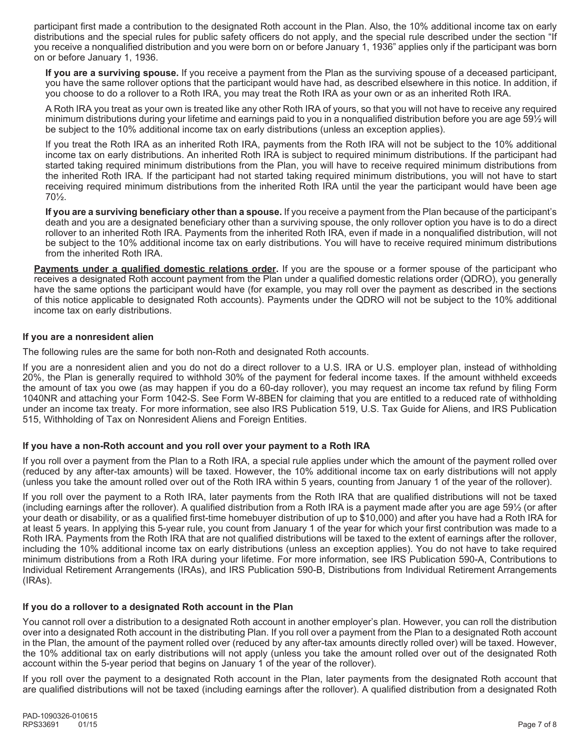participant first made a contribution to the designated Roth account in the Plan. Also, the 10% additional income tax on early distributions and the special rules for public safety officers do not apply, and the special rule described under the section "If you receive a nonqualified distribution and you were born on or before January 1, 1936" applies only if the participant was born on or before January 1, 1936.

**If you are a surviving spouse.** If you receive a payment from the Plan as the surviving spouse of a deceased participant, you have the same rollover options that the participant would have had, as described elsewhere in this notice. In addition, if you choose to do a rollover to a Roth IRA, you may treat the Roth IRA as your own or as an inherited Roth IRA.

A Roth IRA you treat as your own is treated like any other Roth IRA of yours, so that you will not have to receive any required minimum distributions during your lifetime and earnings paid to you in a nonqualified distribution before you are age 59½ will be subject to the 10% additional income tax on early distributions (unless an exception applies).

If you treat the Roth IRA as an inherited Roth IRA, payments from the Roth IRA will not be subject to the 10% additional income tax on early distributions. An inherited Roth IRA is subject to required minimum distributions. If the participant had started taking required minimum distributions from the Plan, you will have to receive required minimum distributions from the inherited Roth IRA. If the participant had not started taking required minimum distributions, you will not have to start receiving required minimum distributions from the inherited Roth IRA until the year the participant would have been age 70½.

**If you are a surviving beneficiary other than a spouse.** If you receive a payment from the Plan because of the participant's death and you are a designated beneficiary other than a surviving spouse, the only rollover option you have is to do a direct rollover to an inherited Roth IRA. Payments from the inherited Roth IRA, even if made in a nonqualified distribution, will not be subject to the 10% additional income tax on early distributions. You will have to receive required minimum distributions from the inherited Roth IRA.

**Payments under a qualified domestic relations order.** If you are the spouse or a former spouse of the participant who receives a designated Roth account payment from the Plan under a qualified domestic relations order (QDRO), you generally have the same options the participant would have (for example, you may roll over the payment as described in the sections of this notice applicable to designated Roth accounts). Payments under the QDRO will not be subject to the 10% additional income tax on early distributions.

### **If you are a nonresident alien**

The following rules are the same for both non-Roth and designated Roth accounts.

If you are a nonresident alien and you do not do a direct rollover to a U.S. IRA or U.S. employer plan, instead of withholding 20%, the Plan is generally required to withhold 30% of the payment for federal income taxes. If the amount withheld exceeds the amount of tax you owe (as may happen if you do a 60-day rollover), you may request an income tax refund by filing Form 1040NR and attaching your Form 1042-S. See Form W-8BEN for claiming that you are entitled to a reduced rate of withholding under an income tax treaty. For more information, see also IRS Publication 519, U.S. Tax Guide for Aliens, and IRS Publication 515, Withholding of Tax on Nonresident Aliens and Foreign Entities.

#### **If you have a non-Roth account and you roll over your payment to a Roth IRA**

If you roll over a payment from the Plan to a Roth IRA, a special rule applies under which the amount of the payment rolled over (reduced by any after-tax amounts) will be taxed. However, the 10% additional income tax on early distributions will not apply (unless you take the amount rolled over out of the Roth IRA within 5 years, counting from January 1 of the year of the rollover).

If you roll over the payment to a Roth IRA, later payments from the Roth IRA that are qualified distributions will not be taxed (including earnings after the rollover). A qualified distribution from a Roth IRA is a payment made after you are age 59½ (or after your death or disability, or as a qualified first-time homebuyer distribution of up to \$10,000) and after you have had a Roth IRA for at least 5 years. In applying this 5-year rule, you count from January 1 of the year for which your first contribution was made to a Roth IRA. Payments from the Roth IRA that are not qualified distributions will be taxed to the extent of earnings after the rollover, including the 10% additional income tax on early distributions (unless an exception applies). You do not have to take required minimum distributions from a Roth IRA during your lifetime. For more information, see IRS Publication 590-A, Contributions to Individual Retirement Arrangements (IRAs), and IRS Publication 590-B, Distributions from Individual Retirement Arrangements (IRAs).

### **If you do a rollover to a designated Roth account in the Plan**

You cannot roll over a distribution to a designated Roth account in another employer's plan. However, you can roll the distribution over into a designated Roth account in the distributing Plan. If you roll over a payment from the Plan to a designated Roth account in the Plan, the amount of the payment rolled over (reduced by any after-tax amounts directly rolled over) will be taxed. However, the 10% additional tax on early distributions will not apply (unless you take the amount rolled over out of the designated Roth account within the 5-year period that begins on January 1 of the year of the rollover).

If you roll over the payment to a designated Roth account in the Plan, later payments from the designated Roth account that are qualified distributions will not be taxed (including earnings after the rollover). A qualified distribution from a designated Roth